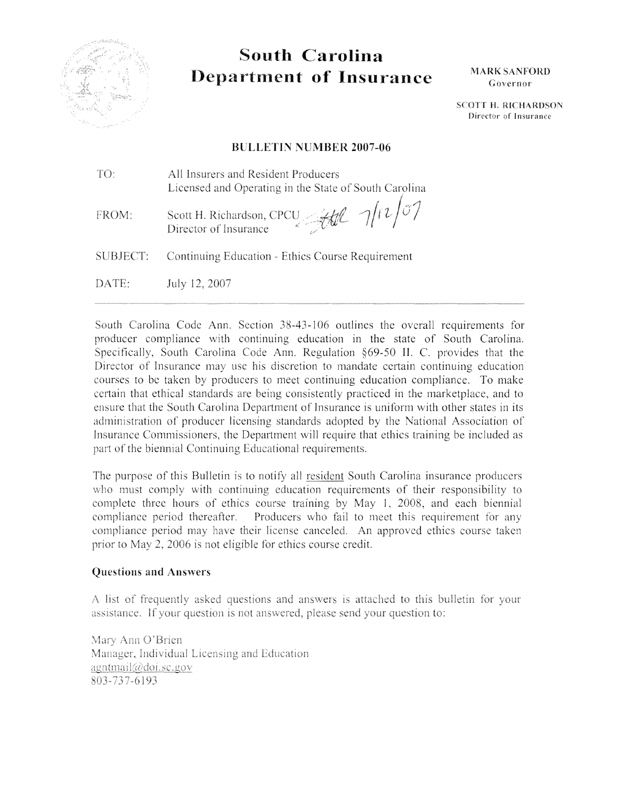

# South Carolina **Department of Insurance**

**MARK SANFORD** Governor

**SCOTT H. RICHARDSON** Director of Insurance

#### **BULLETIN NUMBER 2007-06**

TO: All Insurers and Resident Producers Licensed and Operating in the State of South Carolina

Scott H. Richardson, CPCU All  $\gamma(r)$  07 FROM:

**SUBJECT:** Continuing Education - Ethics Course Requirement

DATE: July 12, 2007

South Carolina Code Ann. Section 38-43-106 outlines the overall requirements for producer compliance with continuing education in the state of South Carolina. Specifically, South Carolina Code Ann. Regulation §69-50 II. C. provides that the Director of Insurance may use his discretion to mandate certain continuing education courses to be taken by producers to meet continuing education compliance. To make certain that ethical standards are being consistently practiced in the marketplace, and to ensure that the South Carolina Department of Insurance is uniform with other states in its administration of producer licensing standards adopted by the National Association of Insurance Commissioners, the Department will require that ethics training be included as part of the biennial Continuing Educational requirements.

The purpose of this Bulletin is to notify all resident South Carolina insurance producers who must comply with continuing education requirements of their responsibility to complete three hours of ethics course training by May 1, 2008, and each biennial compliance period thereafter. Producers who fail to meet this requirement for any compliance period may have their license canceled. An approved ethics course taken prior to May 2, 2006 is not eligible for ethics course credit.

#### **Questions and Answers**

A list of frequently asked questions and answers is attached to this bulletin for your assistance. If your question is not answered, please send your question to:

Mary Ann O'Brien Manager, Individual Licensing and Education agntmail@doi.sc.gov 803-737-6193